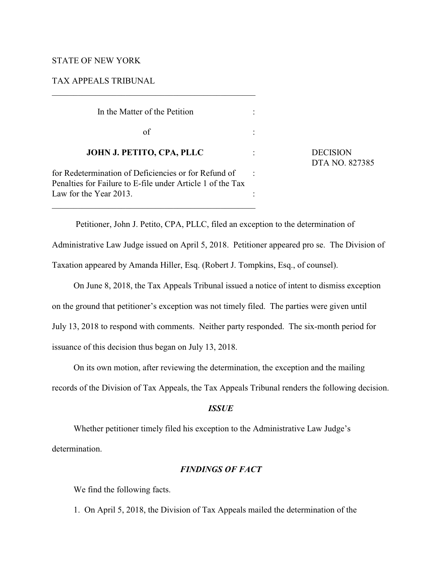## STATE OF NEW YORK

TAX APPEALS TRIBUNAL

 In the Matter of the Petition :  $\sigma$  of  $\sigma$  :  **JOHN J. PETITO, CPA, PLLC** : DECISION for Redetermination of Deficiencies or for Refund of : Penalties for Failure to E-file under Article 1 of the Tax Law for the Year 2013.

DTA NO. 827385

 Petitioner, John J. Petito, CPA, PLLC, filed an exception to the determination of Administrative Law Judge issued on April 5, 2018. Petitioner appeared pro se. The Division of Taxation appeared by Amanda Hiller, Esq. (Robert J. Tompkins, Esq., of counsel).

On June 8, 2018, the Tax Appeals Tribunal issued a notice of intent to dismiss exception on the ground that petitioner's exception was not timely filed. The parties were given until July 13, 2018 to respond with comments. Neither party responded. The six-month period for issuance of this decision thus began on July 13, 2018.

On its own motion, after reviewing the determination, the exception and the mailing records of the Division of Tax Appeals, the Tax Appeals Tribunal renders the following decision.

## *ISSUE*

Whether petitioner timely filed his exception to the Administrative Law Judge's determination.

## *FINDINGS OF FACT*

We find the following facts.

1. On April 5, 2018, the Division of Tax Appeals mailed the determination of the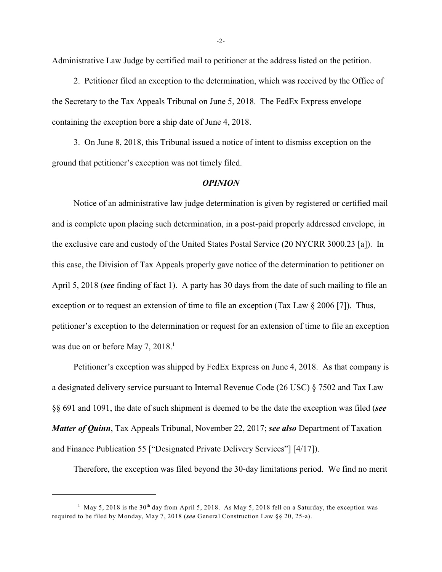Administrative Law Judge by certified mail to petitioner at the address listed on the petition.

2. Petitioner filed an exception to the determination, which was received by the Office of the Secretary to the Tax Appeals Tribunal on June 5, 2018. The FedEx Express envelope containing the exception bore a ship date of June 4, 2018.

3. On June 8, 2018, this Tribunal issued a notice of intent to dismiss exception on the ground that petitioner's exception was not timely filed.

## *OPINION*

Notice of an administrative law judge determination is given by registered or certified mail and is complete upon placing such determination, in a post-paid properly addressed envelope, in the exclusive care and custody of the United States Postal Service (20 NYCRR 3000.23 [a]). In this case, the Division of Tax Appeals properly gave notice of the determination to petitioner on April 5, 2018 (*see* finding of fact 1). A party has 30 days from the date of such mailing to file an exception or to request an extension of time to file an exception (Tax Law § 2006 [7]). Thus, petitioner's exception to the determination or request for an extension of time to file an exception was due on or before May 7, 2018.<sup>1</sup>

Petitioner's exception was shipped by FedEx Express on June 4, 2018. As that company is a designated delivery service pursuant to Internal Revenue Code (26 USC) § 7502 and Tax Law §§ 691 and 1091, the date of such shipment is deemed to be the date the exception was filed (*see Matter of Quinn*, Tax Appeals Tribunal, November 22, 2017; *see also* Department of Taxation and Finance Publication 55 ["Designated Private Delivery Services"] [4/17]).

Therefore, the exception was filed beyond the 30-day limitations period. We find no merit

<sup>&</sup>lt;sup>1</sup> May 5, 2018 is the 30<sup>th</sup> day from April 5, 2018. As May 5, 2018 fell on a Saturday, the exception was required to be filed by Monday, May 7, 2018 (*see* General Construction Law §§ 20, 25-a).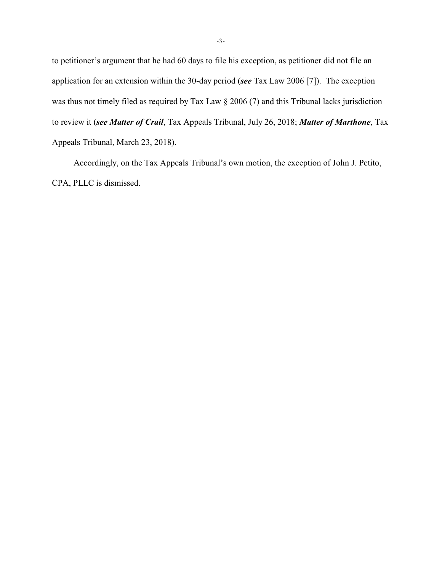to petitioner's argument that he had 60 days to file his exception, as petitioner did not file an application for an extension within the 30-day period (*see* Tax Law 2006 [7]). The exception was thus not timely filed as required by Tax Law § 2006 (7) and this Tribunal lacks jurisdiction to review it (*see Matter of Crail*, Tax Appeals Tribunal, July 26, 2018; *Matter of Marthone*, Tax Appeals Tribunal, March 23, 2018).

Accordingly, on the Tax Appeals Tribunal's own motion, the exception of John J. Petito, CPA, PLLC is dismissed.